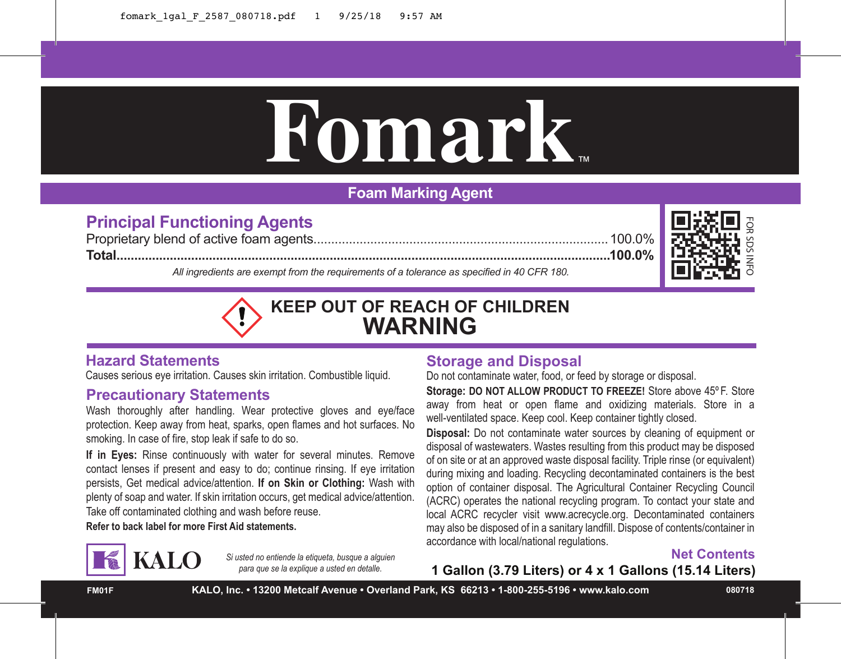# **Fomark**™

# **Foam Marking Agent**

# **Principal Functioning Agents**

Proprietary blend of active foam agents...................................................................................100.0% **Total...........................................................................................................................................100.0%**

> *Si usted no entiende la etiqueta, busque a alguien para que se la explique a usted en detalle.*



*All ingredients are exempt from the requirements of a tolerance as specified in 40 CFR 180.*



# **Hazard Statements**

Causes serious eye irritation. Causes skin irritation. Combustible liquid.

## **Precautionary Statements**

Wash thoroughly after handling. Wear protective gloves and eye/face protection. Keep away from heat, sparks, open flames and hot surfaces. No smoking. In case of fire, stop leak if safe to do so.

**If in Eyes:** Rinse continuously with water for several minutes. Remove contact lenses if present and easy to do; continue rinsing. If eye irritation persists, Get medical advice/attention. **If on Skin or Clothing:** Wash with plenty of soap and water. If skin irritation occurs, get medical advice/attention. Take off contaminated clothing and wash before reuse.

**Refer to back label for more First Aid statements.**

**KALO** 

### **Storage and Disposal** Do not contaminate water, food, or feed by storage or disposal.

**Storage: DO NOT ALLOW PRODUCT TO FREEZE!** Store above 45º F. Store away from heat or open flame and oxidizing materials. Store in a well-ventilated space. Keep cool. Keep container tightly closed.

**Disposal:** Do not contaminate water sources by cleaning of equipment or disposal of wastewaters. Wastes resulting from this product may be disposed of on site or at an approved waste disposal facility. Triple rinse (or equivalent) during mixing and loading. Recycling decontaminated containers is the best option of container disposal. The Agricultural Container Recycling Council (ACRC) operates the national recycling program. To contact your state and local ACRC recycler visit www.acrecycle.org. Decontaminated containers may also be disposed of in a sanitary landfill. Dispose of contents/container in accordance with local/national regulations.

### **Net Contents**

**1 Gallon (3.79 Liters) or 4 x 1 Gallons (15.14 Liters)**

**FM01F KALO, Inc. • 13200 Metcalf Avenue • Overland Park, KS 66213 • 1-800-255-5196 • www.kalo.com 080718**